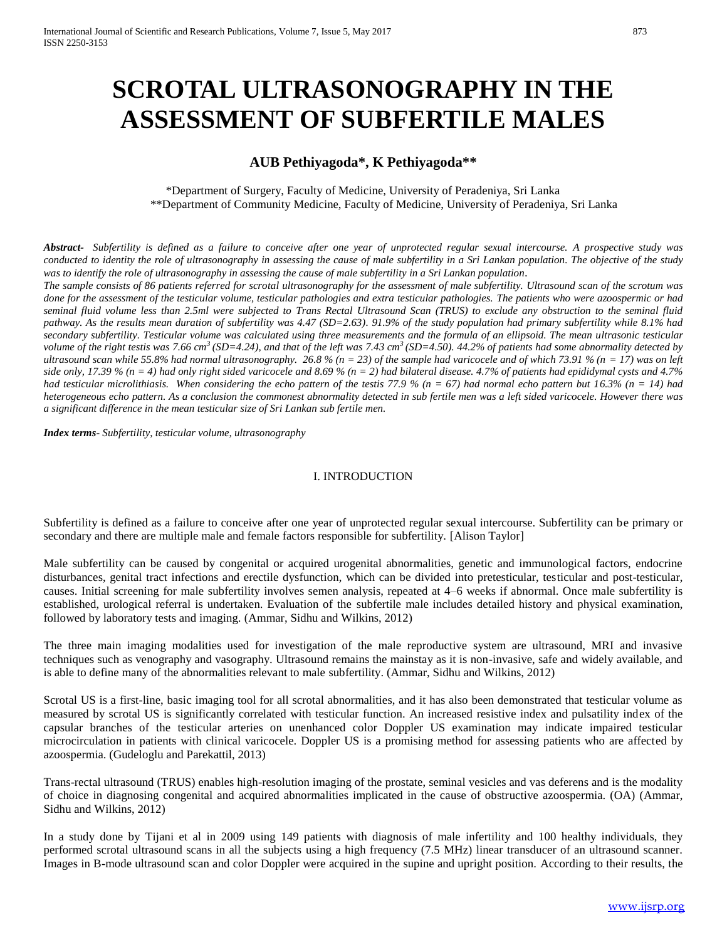# **SCROTAL ULTRASONOGRAPHY IN THE ASSESSMENT OF SUBFERTILE MALES**

# **AUB Pethiyagoda\*, K Pethiyagoda\*\***

\*Department of Surgery, Faculty of Medicine, University of Peradeniya, Sri Lanka \*\*Department of Community Medicine, Faculty of Medicine, University of Peradeniya, Sri Lanka

*Abstract- Subfertility is defined as a failure to conceive after one year of unprotected regular sexual intercourse. A prospective study was conducted to identity the role of ultrasonography in assessing the cause of male subfertility in a Sri Lankan population. The objective of the study was to identify the role of ultrasonography in assessing the cause of male subfertility in a Sri Lankan population*.

*The sample consists of 86 patients referred for scrotal ultrasonography for the assessment of male subfertility. Ultrasound scan of the scrotum was done for the assessment of the testicular volume, testicular pathologies and extra testicular pathologies. The patients who were azoospermic or had seminal fluid volume less than 2.5ml were subjected to Trans Rectal Ultrasound Scan (TRUS) to exclude any obstruction to the seminal fluid pathway. As the results mean duration of subfertility was 4.47 (SD=2.63). 91.9% of the study population had primary subfertility while 8.1% had secondary subfertility. Testicular volume was calculated using three measurements and the formula of an ellipsoid. The mean ultrasonic testicular volume of the right testis was 7.66 cm<sup>3</sup>(SD=4.24), and that of the left was 7.43 cm<sup>3</sup>(SD=4.50). 44.2% of patients had some abnormality detected by ultrasound scan while 55.8% had normal ultrasonography.* 26.8 % (n = 23) of the sample had varicocele and of which 73.91 % (n = 17) was on left *side only, 17.39 % (n = 4) had only right sided varicocele and 8.69 % (n = 2) had bilateral disease. 4.7% of patients had epididymal cysts and 4.7% had testicular microlithiasis. When considering the echo pattern of the testis 77.9 % (n = 67) had normal echo pattern but 16.3% (n = 14) had heterogeneous echo pattern. As a conclusion the commonest abnormality detected in sub fertile men was a left sided varicocele. However there was a significant difference in the mean testicular size of Sri Lankan sub fertile men.* 

*Index terms- Subfertility, testicular volume, ultrasonography*

## I. INTRODUCTION

Subfertility is defined as a failure to conceive after one year of unprotected regular sexual intercourse. Subfertility can be primary or secondary and there are multiple male and female factors responsible for subfertility. [Alison Taylor]

Male subfertility can be caused by congenital or acquired urogenital abnormalities, genetic and immunological factors, endocrine disturbances, genital tract infections and erectile dysfunction, which can be divided into pretesticular, testicular and post-testicular, causes. Initial screening for male subfertility involves semen analysis, repeated at 4–6 weeks if abnormal. Once male subfertility is established, urological referral is undertaken. Evaluation of the subfertile male includes detailed history and physical examination, followed by laboratory tests and imaging. (Ammar, Sidhu and Wilkins, 2012)

The three main imaging modalities used for investigation of the male reproductive system are ultrasound, MRI and invasive techniques such as venography and vasography. Ultrasound remains the mainstay as it is non-invasive, safe and widely available, and is able to define many of the abnormalities relevant to male subfertility. (Ammar, Sidhu and Wilkins, 2012)

Scrotal US is a first-line, basic imaging tool for all scrotal abnormalities, and it has also been demonstrated that testicular volume as measured by scrotal US is significantly correlated with testicular function. An increased resistive index and pulsatility index of the capsular branches of the testicular arteries on unenhanced color Doppler US examination may indicate impaired testicular microcirculation in patients with clinical varicocele. Doppler US is a promising method for assessing patients who are affected by azoospermia. (Gudeloglu and Parekattil, 2013)

Trans-rectal ultrasound (TRUS) enables high-resolution imaging of the prostate, seminal vesicles and vas deferens and is the modality of choice in diagnosing congenital and acquired abnormalities implicated in the cause of obstructive azoospermia. (OA) (Ammar, Sidhu and Wilkins, 2012)

In a study done by Tijani et al in 2009 using 149 patients with diagnosis of male infertility and 100 healthy individuals, they performed scrotal ultrasound scans in all the subjects using a high frequency (7.5 MHz) linear transducer of an ultrasound scanner. Images in B-mode ultrasound scan and color Doppler were acquired in the supine and upright position. According to their results, the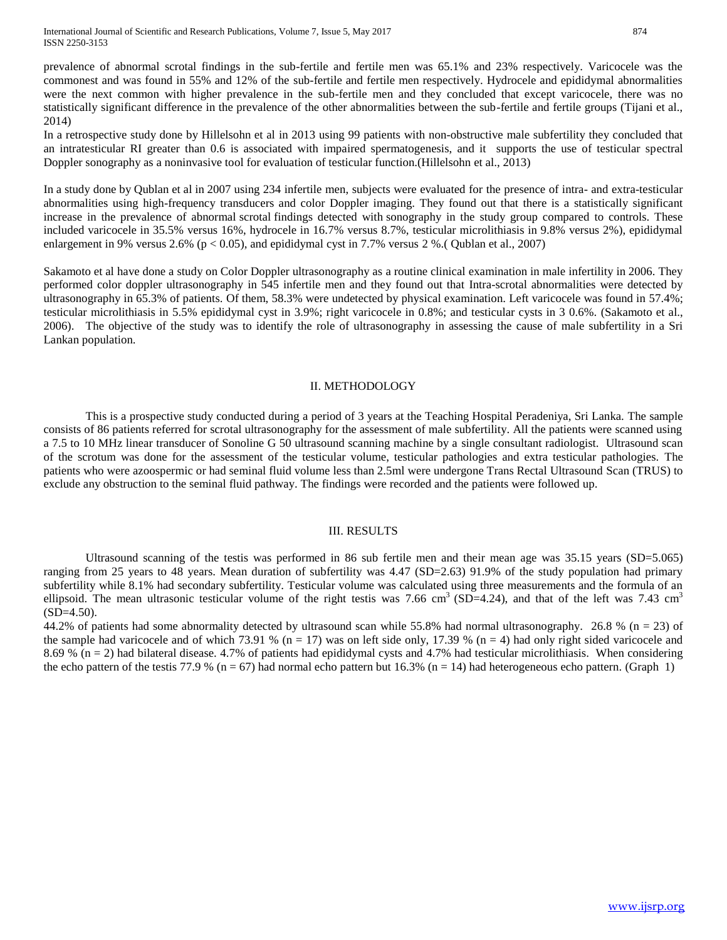prevalence of abnormal scrotal findings in the sub-fertile and fertile men was 65.1% and 23% respectively. Varicocele was the commonest and was found in 55% and 12% of the sub-fertile and fertile men respectively. Hydrocele and epididymal abnormalities were the next common with higher prevalence in the sub-fertile men and they concluded that except varicocele, there was no statistically significant difference in the prevalence of the other abnormalities between the sub-fertile and fertile groups (Tijani et al., 2014)

In a retrospective study done by Hillelsohn et al in 2013 using 99 patients with non-obstructive male subfertility they concluded that an intratesticular RI greater than 0.6 is associated with impaired spermatogenesis, and it supports the use of testicular spectral Doppler sonography as a noninvasive tool for evaluation of testicular function.(Hillelsohn et al., 2013)

In a study done by Qublan et al in 2007 using 234 infertile men, subjects were evaluated for the presence of intra- and extra-testicular abnormalities using high-frequency transducers and color Doppler imaging. They found out that there is a statistically significant increase in the prevalence of abnormal scrotal findings detected with sonography in the study group compared to controls. These included varicocele in 35.5% versus 16%, hydrocele in 16.7% versus 8.7%, testicular microlithiasis in 9.8% versus 2%), epididymal enlargement in 9% versus 2.6% ( $p < 0.05$ ), and epididymal cyst in 7.7% versus 2 %.( Qublan et al., 2007)

Sakamoto et al have done a study on Color Doppler ultrasonography as a routine clinical examination in male infertility in 2006. They performed color doppler ultrasonography in 545 infertile men and they found out that Intra-scrotal abnormalities were detected by ultrasonography in 65.3% of patients. Of them, 58.3% were undetected by physical examination. Left varicocele was found in 57.4%; testicular microlithiasis in 5.5% epididymal cyst in 3.9%; right varicocele in 0.8%; and testicular cysts in 3 0.6%. (Sakamoto et al., 2006). The objective of the study was to identify the role of ultrasonography in assessing the cause of male subfertility in a Sri Lankan population.

#### II. METHODOLOGY

This is a prospective study conducted during a period of 3 years at the Teaching Hospital Peradeniya, Sri Lanka. The sample consists of 86 patients referred for scrotal ultrasonography for the assessment of male subfertility. All the patients were scanned using a 7.5 to 10 MHz linear transducer of Sonoline G 50 ultrasound scanning machine by a single consultant radiologist. Ultrasound scan of the scrotum was done for the assessment of the testicular volume, testicular pathologies and extra testicular pathologies. The patients who were azoospermic or had seminal fluid volume less than 2.5ml were undergone Trans Rectal Ultrasound Scan (TRUS) to exclude any obstruction to the seminal fluid pathway. The findings were recorded and the patients were followed up.

### III. RESULTS

Ultrasound scanning of the testis was performed in 86 sub fertile men and their mean age was 35.15 years (SD=5.065) ranging from 25 years to 48 years. Mean duration of subfertility was 4.47 (SD=2.63) 91.9% of the study population had primary subfertility while 8.1% had secondary subfertility. Testicular volume was calculated using three measurements and the formula of an ellipsoid. The mean ultrasonic testicular volume of the right testis was 7.66 cm<sup>3</sup> (SD=4.24), and that of the left was 7.43 cm<sup>3</sup>  $(SD=4.50)$ .

44.2% of patients had some abnormality detected by ultrasound scan while 55.8% had normal ultrasonography. 26.8 %  $(n = 23)$  of the sample had varicocele and of which 73.91 % ( $n = 17$ ) was on left side only, 17.39 % ( $n = 4$ ) had only right sided varicocele and 8.69 %  $(n = 2)$  had bilateral disease. 4.7% of patients had epididymal cysts and 4.7% had testicular microlithiasis. When considering the echo pattern of the testis 77.9 % ( $n = 67$ ) had normal echo pattern but 16.3% ( $n = 14$ ) had heterogeneous echo pattern. (Graph 1)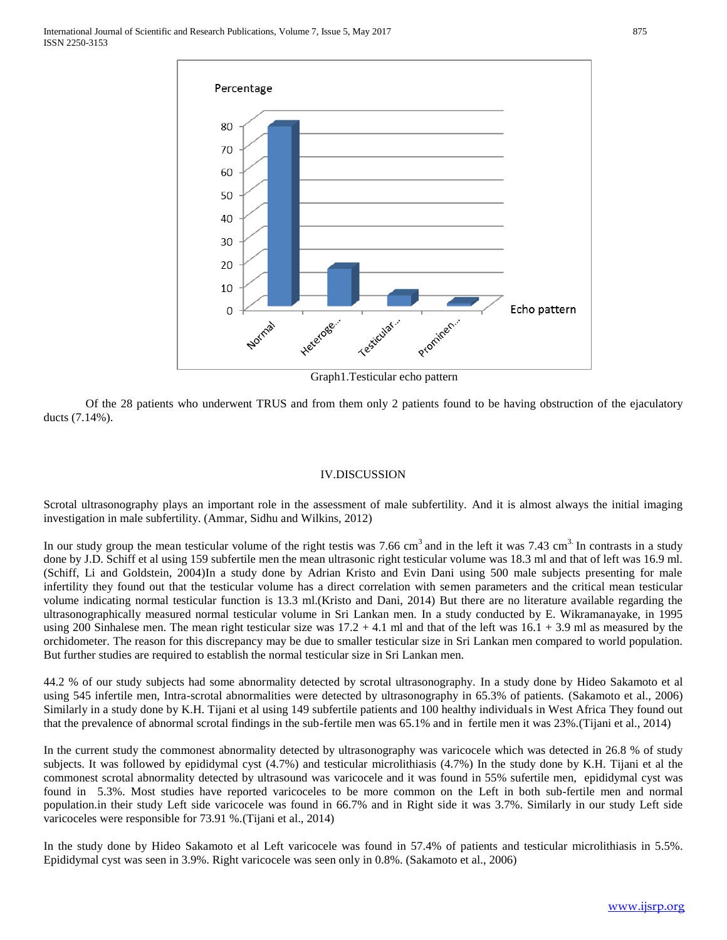

Graph1.Testicular echo pattern

Of the 28 patients who underwent TRUS and from them only 2 patients found to be having obstruction of the ejaculatory ducts (7.14%).

### IV.DISCUSSION

Scrotal ultrasonography plays an important role in the assessment of male subfertility. And it is almost always the initial imaging investigation in male subfertility. (Ammar, Sidhu and Wilkins, 2012)

In our study group the mean testicular volume of the right testis was 7.66 cm<sup>3</sup> and in the left it was 7.43 cm<sup>3.</sup> In contrasts in a study done by J.D. Schiff et al using 159 subfertile men the mean ultrasonic right testicular volume was 18.3 ml and that of left was 16.9 ml. (Schiff, Li and Goldstein, 2004)In a study done by Adrian Kristo and Evin Dani using 500 male subjects presenting for male infertility they found out that the testicular volume has a direct correlation with semen parameters and the critical mean testicular volume indicating normal testicular function is 13.3 ml.(Kristo and Dani, 2014) But there are no literature available regarding the ultrasonographically measured normal testicular volume in Sri Lankan men. In a study conducted by E. Wikramanayake, in 1995 using 200 Sinhalese men. The mean right testicular size was  $17.2 + 4.1$  ml and that of the left was  $16.1 + 3.9$  ml as measured by the orchidometer. The reason for this discrepancy may be due to smaller testicular size in Sri Lankan men compared to world population. But further studies are required to establish the normal testicular size in Sri Lankan men.

44.2 % of our study subjects had some abnormality detected by scrotal ultrasonography. In a study done by Hideo Sakamoto et al using 545 infertile men, Intra-scrotal abnormalities were detected by ultrasonography in 65.3% of patients. (Sakamoto et al., 2006) Similarly in a study done by K.H. Tijani et al using 149 subfertile patients and 100 healthy individuals in West Africa They found out that the prevalence of abnormal scrotal findings in the sub-fertile men was 65.1% and in fertile men it was 23%.(Tijani et al., 2014)

In the current study the commonest abnormality detected by ultrasonography was varicocele which was detected in 26.8 % of study subjects. It was followed by epididymal cyst (4.7%) and testicular microlithiasis (4.7%) In the study done by K.H. Tijani et al the commonest scrotal abnormality detected by ultrasound was varicocele and it was found in 55% sufertile men, epididymal cyst was found in 5.3%. Most studies have reported varicoceles to be more common on the Left in both sub-fertile men and normal population.in their study Left side varicocele was found in 66.7% and in Right side it was 3.7%. Similarly in our study Left side varicoceles were responsible for 73.91 %.(Tijani et al., 2014)

In the study done by Hideo Sakamoto et al Left varicocele was found in 57.4% of patients and testicular microlithiasis in 5.5%. Epididymal cyst was seen in 3.9%. Right varicocele was seen only in 0.8%. (Sakamoto et al., 2006)